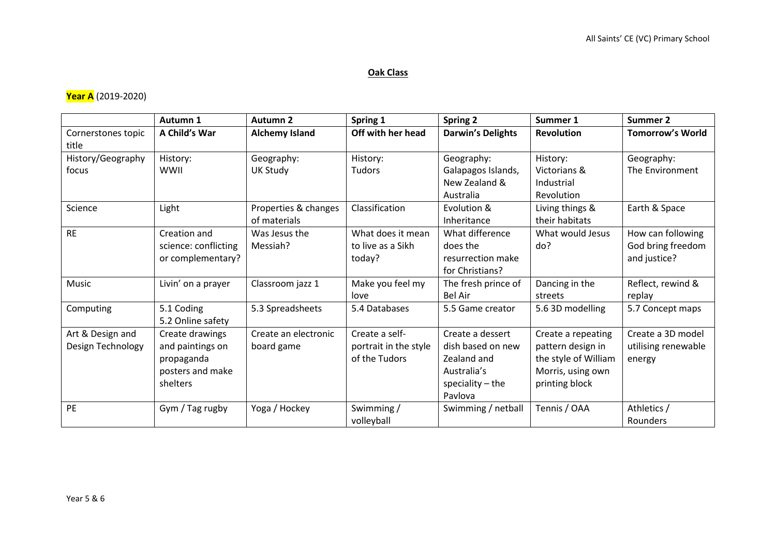## **Oak Class**

## **Year A** (2019-2020)

|                                       | Autumn 1                                                                          | <b>Autumn 2</b>                      | Spring 1                                                 | <b>Spring 2</b>                                                                                      | Summer 1                                                                                               | <b>Summer 2</b>                                        |
|---------------------------------------|-----------------------------------------------------------------------------------|--------------------------------------|----------------------------------------------------------|------------------------------------------------------------------------------------------------------|--------------------------------------------------------------------------------------------------------|--------------------------------------------------------|
| Cornerstones topic<br>title           | A Child's War                                                                     | <b>Alchemy Island</b>                | Off with her head                                        | <b>Darwin's Delights</b>                                                                             | <b>Revolution</b>                                                                                      | <b>Tomorrow's World</b>                                |
| History/Geography<br>focus            | History:<br>WWII                                                                  | Geography:<br><b>UK Study</b>        | History:<br>Tudors                                       | Geography:<br>Galapagos Islands,<br>New Zealand &<br>Australia                                       | History:<br>Victorians &<br>Industrial<br>Revolution                                                   | Geography:<br>The Environment                          |
| Science                               | Light                                                                             | Properties & changes<br>of materials | Classification                                           | Evolution &<br>Inheritance                                                                           | Living things &<br>their habitats                                                                      | Earth & Space                                          |
| <b>RE</b>                             | Creation and<br>science: conflicting<br>or complementary?                         | Was Jesus the<br>Messiah?            | What does it mean<br>to live as a Sikh<br>today?         | What difference<br>does the<br>resurrection make<br>for Christians?                                  | What would Jesus<br>do?                                                                                | How can following<br>God bring freedom<br>and justice? |
| Music                                 | Livin' on a prayer                                                                | Classroom jazz 1                     | Make you feel my<br>love                                 | The fresh prince of<br><b>Bel Air</b>                                                                | Dancing in the<br>streets                                                                              | Reflect, rewind &<br>replay                            |
| Computing                             | 5.1 Coding<br>5.2 Online safety                                                   | 5.3 Spreadsheets                     | 5.4 Databases                                            | 5.5 Game creator                                                                                     | 5.6 3D modelling                                                                                       | 5.7 Concept maps                                       |
| Art & Design and<br>Design Technology | Create drawings<br>and paintings on<br>propaganda<br>posters and make<br>shelters | Create an electronic<br>board game   | Create a self-<br>portrait in the style<br>of the Tudors | Create a dessert<br>dish based on new<br>Zealand and<br>Australia's<br>speciality $-$ the<br>Pavlova | Create a repeating<br>pattern design in<br>the style of William<br>Morris, using own<br>printing block | Create a 3D model<br>utilising renewable<br>energy     |
| <b>PE</b>                             | Gym / Tag rugby                                                                   | Yoga / Hockey                        | Swimming /<br>volleyball                                 | Swimming / netball                                                                                   | Tennis / OAA                                                                                           | Athletics /<br>Rounders                                |